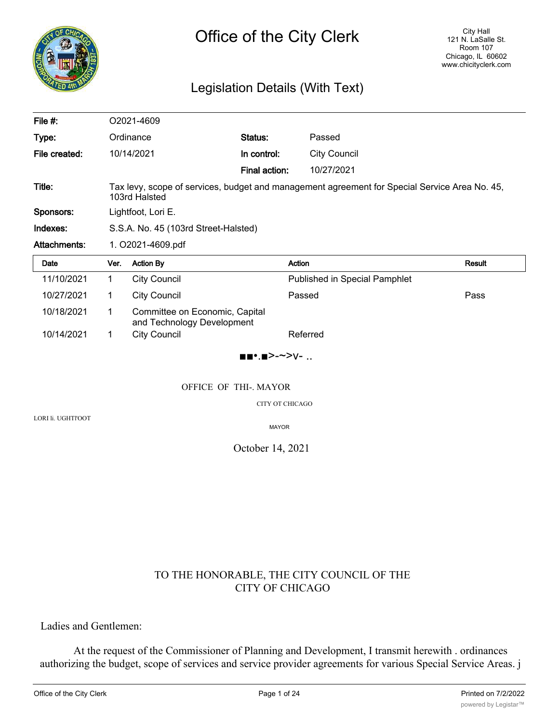

## Legislation Details (With Text)

| File #:             |                                                                                                                | O2021-4609                                                   |               |                                      |        |
|---------------------|----------------------------------------------------------------------------------------------------------------|--------------------------------------------------------------|---------------|--------------------------------------|--------|
| Type:               |                                                                                                                | Ordinance                                                    | Status:       | Passed                               |        |
| File created:       |                                                                                                                | 10/14/2021                                                   | In control:   | <b>City Council</b>                  |        |
|                     |                                                                                                                |                                                              | Final action: | 10/27/2021                           |        |
| Title:              | Tax levy, scope of services, budget and management agreement for Special Service Area No. 45,<br>103rd Halsted |                                                              |               |                                      |        |
| Sponsors:           | Lightfoot, Lori E.                                                                                             |                                                              |               |                                      |        |
| Indexes:            | S.S.A. No. 45 (103rd Street-Halsted)                                                                           |                                                              |               |                                      |        |
| <b>Attachments:</b> | 1. O2021-4609.pdf                                                                                              |                                                              |               |                                      |        |
| Date                | Ver.                                                                                                           | <b>Action By</b>                                             |               | Action                               | Result |
| 11/10/2021          | 1.                                                                                                             | <b>City Council</b>                                          |               | <b>Published in Special Pamphlet</b> |        |
| 10/27/2021          | 1                                                                                                              | <b>City Council</b>                                          |               | Passed                               | Pass   |
| 10/18/2021          |                                                                                                                |                                                              |               |                                      |        |
|                     | 1                                                                                                              | Committee on Economic, Capital<br>and Technology Development |               |                                      |        |

■■•.■>-~>v- ..

### OFFICE OF THI-. MAYOR

CITY OT CHICAGO

LORI li. UGHTl'OOT

MAYOR

### October 14, 2021

## TO THE HONORABLE, THE CITY COUNCIL OF THE CITY OF CHICAGO

Ladies and Gentlemen:

At the request of the Commissioner of Planning and Development, I transmit herewith . ordinances authorizing the budget, scope of services and service provider agreements for various Special Service Areas. j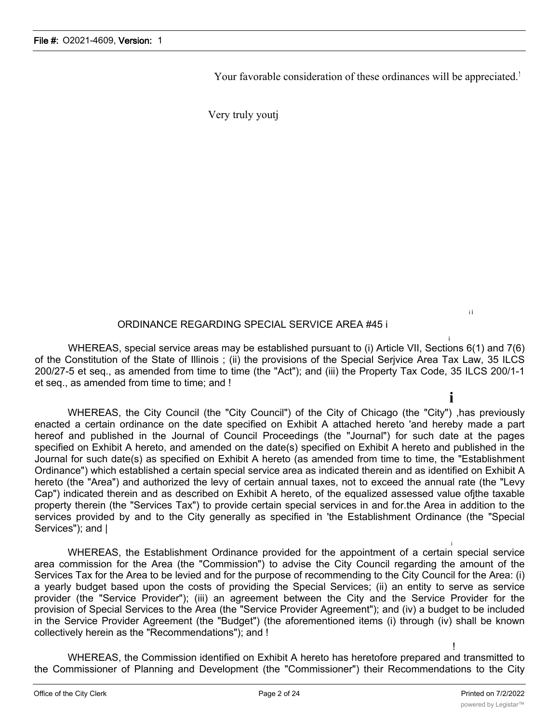Your favorable consideration of these ordinances will be appreciated.<sup>!</sup>

Very truly youtj

## ORDINANCE REGARDING SPECIAL SERVICE AREA #45 i

i WHEREAS, special service areas may be established pursuant to (i) Article VII, Sections 6(1) and 7(6) of the Constitution of the State of Illinois ; (ii) the provisions of the Special Serjvice Area Tax Law, 35 ILCS 200/27-5 et seq., as amended from time to time (the "Act"); and (iii) the Property Tax Code, 35 ILCS 200/1-1 et seq., as amended from time to time; and !

**i** WHEREAS, the City Council (the "City Council") of the City of Chicago (the "City") ,has previously enacted a certain ordinance on the date specified on Exhibit A attached hereto 'and hereby made a part hereof and published in the Journal of Council Proceedings (the "Journal") for such date at the pages specified on Exhibit A hereto, and amended on the date(s) specified on Exhibit A hereto and published in the Journal for such date(s) as specified on Exhibit A hereto (as amended from time to time, the "Establishment Ordinance") which established a certain special service area as indicated therein and as identified on Exhibit A hereto (the "Area") and authorized the levy of certain annual taxes, not to exceed the annual rate (the "Levy Cap") indicated therein and as described on Exhibit A hereto, of the equalized assessed value ofjthe taxable property therein (the "Services Tax") to provide certain special services in and for.the Area in addition to the services provided by and to the City generally as specified in 'the Establishment Ordinance (the "Special Services"); and I

WHEREAS, the Establishment Ordinance provided for the appointment of a certain special service area commission for the Area (the "Commission") to advise the City Council regarding the amount of the Services Tax for the Area to be levied and for the purpose of recommending to the City Council for the Area: (i) a yearly budget based upon the costs of providing the Special Services; (ii) an entity to serve as service provider (the "Service Provider"); (iii) an agreement between the City and the Service Provider for the provision of Special Services to the Area (the "Service Provider Agreement"); and (iv) a budget to be included in the Service Provider Agreement (the "Budget") (the aforementioned items (i) through (iv) shall be known collectively herein as the "Recommendations"); and !

! WHEREAS, the Commission identified on Exhibit A hereto has heretofore prepared and transmitted to the Commissioner of Planning and Development (the "Commissioner") their Recommendations to the City

i i

i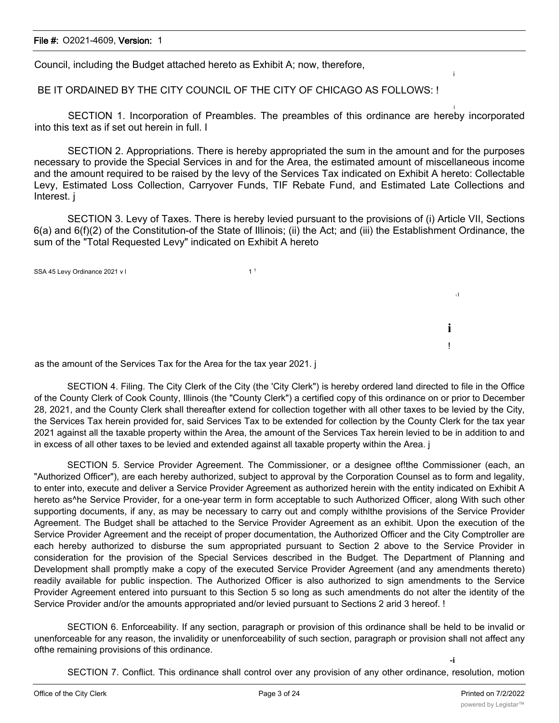Council, including the Budget attached hereto as Exhibit A; now, therefore,

BE IT ORDAINED BY THE CITY COUNCIL OF THE CITY OF CHICAGO AS FOLLOWS: !

i SECTION 1. Incorporation of Preambles. The preambles of this ordinance are hereby incorporated into this text as if set out herein in full. I

SECTION 2. Appropriations. There is hereby appropriated the sum in the amount and for the purposes necessary to provide the Special Services in and for the Area, the estimated amount of miscellaneous income and the amount required to be raised by the levy of the Services Tax indicated on Exhibit A hereto: Collectable Levy, Estimated Loss Collection, Carryover Funds, TIF Rebate Fund, and Estimated Late Collections and Interest. j

SECTION 3. Levy of Taxes. There is hereby levied pursuant to the provisions of (i) Article VII, Sections 6(a) and 6(f)(2) of the Constitution-of the State of Illinois; (ii) the Act; and (iii) the Establishment Ordinance, the sum of the "Total Requested Levy" indicated on Exhibit A hereto

SSA 45 Levy Ordinance 2021 v l 1 <sup>1</sup>

as the amount of the Services Tax for the Area for the tax year 2021. j

SECTION 4. Filing. The City Clerk of the City (the 'City Clerk") is hereby ordered land directed to file in the Office of the County Clerk of Cook County, Illinois (the "County Clerk") a certified copy of this ordinance on or prior to December 28, 2021, and the County Clerk shall thereafter extend for collection together with all other taxes to be levied by the City, the Services Tax herein provided for, said Services Tax to be extended for collection by the County Clerk for the tax year 2021 against all the taxable property within the Area, the amount of the Services Tax herein levied to be in addition to and in excess of all other taxes to be levied and extended against all taxable property within the Area. j

SECTION 5. Service Provider Agreement. The Commissioner, or a designee of!the Commissioner (each, an "Authorized Officer"), are each hereby authorized, subject to approval by the Corporation Counsel as to form and legality, to enter into, execute and deliver a Service Provider Agreement as authorized herein with the entity indicated on Exhibit A hereto as<sup>^</sup>he Service Provider, for a one-year term in form acceptable to such Authorized Officer, along With such other supporting documents, if any, as may be necessary to carry out and comply withlthe provisions of the Service Provider Agreement. The Budget shall be attached to the Service Provider Agreement as an exhibit. Upon the execution of the Service Provider Agreement and the receipt of proper documentation, the Authorized Officer and the City Comptroller are each hereby authorized to disburse the sum appropriated pursuant to Section 2 above to the Service Provider in consideration for the provision of the Special Services described in the Budget. The Department of Planning and Development shall promptly make a copy of the executed Service Provider Agreement (and any amendments thereto) readily available for public inspection. The Authorized Officer is also authorized to sign amendments to the Service Provider Agreement entered into pursuant to this Section 5 so long as such amendments do not alter the identity of the Service Provider and/or the amounts appropriated and/or levied pursuant to Sections 2 arid 3 hereof. !

SECTION 6. Enforceability. If any section, paragraph or provision of this ordinance shall be held to be invalid or unenforceable for any reason, the invalidity or unenforceability of such section, paragraph or provision shall not affect any ofthe remaining provisions of this ordinance.

i

i I

**i** !

SECTION 7. Conflict. This ordinance shall control over any provision of any other ordinance, resolution, motion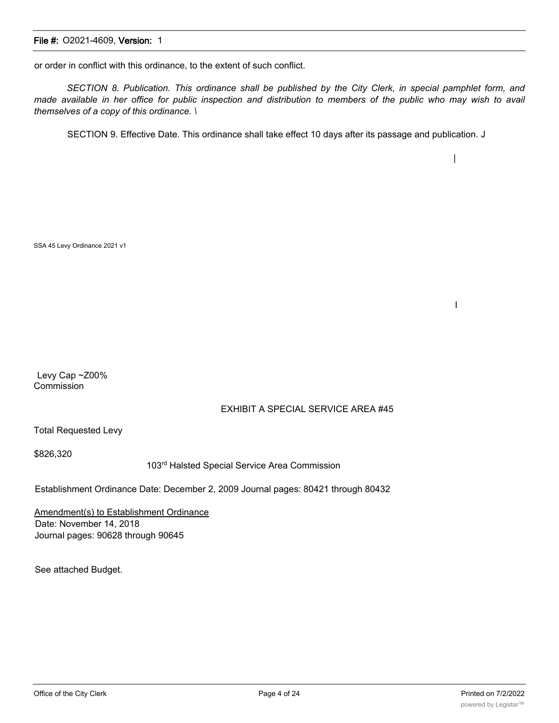or order in conflict with this ordinance, to the extent of such conflict.

SECTION 8. Publication. This ordinance shall be published by the City Clerk, in special pamphlet form, and made available in her office for public inspection and distribution to members of the public who may wish to avail *themselves of a copy of this ordinance. \*

SECTION 9. Effective Date. This ordinance shall take effect 10 days after its passage and publication. J

SSA 45 Levy Ordinance 2021 v1

Levy Cap ~Z00% **Commission** 

#### EXHIBIT A SPECIAL SERVICE AREA #45

Total Requested Levy

\$826,320

103rd Halsted Special Service Area Commission

Establishment Ordinance Date: December 2, 2009 Journal pages: 80421 through 80432

Amendment(s) to Establishment Ordinance Date: November 14, 2018 Journal pages: 90628 through 90645

See attached Budget.

|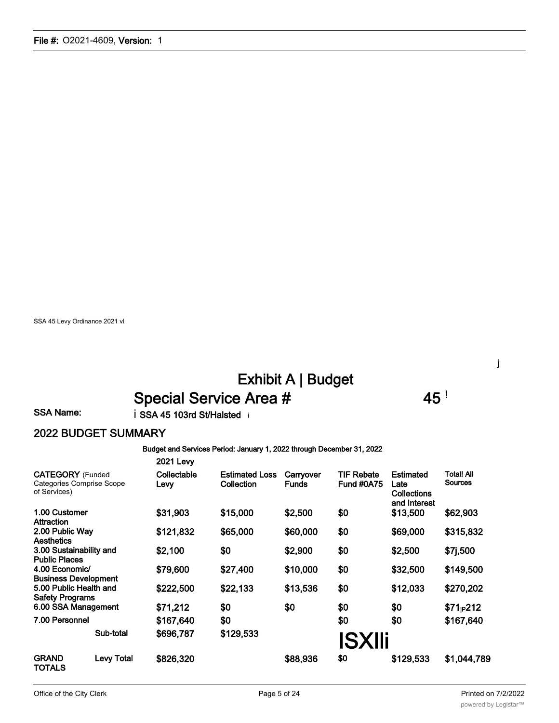SSA 45 Levy Ordinance 2021 vl

# Exhibit A | Budget Special Service Area # 45 !

j

### SSA Name: i SSA 45 103rd St/Halsted i

# 2022 BUDGET SUMMARY

#### Budget and Services Period: January 1, 2022 through December 31, 2022

|                                                  |                                  | <b>2021 Levy</b>    |                                     |                           |                                        |                                                                |                                     |
|--------------------------------------------------|----------------------------------|---------------------|-------------------------------------|---------------------------|----------------------------------------|----------------------------------------------------------------|-------------------------------------|
| <b>CATEGORY</b> (Funded<br>of Services)          | <b>Categories Comprise Scope</b> | Collectable<br>Levy | <b>Estimated Loss</b><br>Collection | Carryover<br><b>Funds</b> | <b>TIF Rebate</b><br><b>Fund #0A75</b> | <b>Estimated</b><br>Late<br><b>Collections</b><br>and Interest | <b>Total! All</b><br><b>Sources</b> |
| 1.00 Customer<br>Attraction                      |                                  | \$31,903            | \$15,000                            | \$2,500                   | \$0                                    | \$13,500                                                       | \$62,903                            |
| 2.00 Public Way<br>Aesthetics                    |                                  | \$121,832           | \$65,000                            | \$60,000                  | \$0                                    | \$69,000                                                       | \$315,832                           |
| 3.00 Sustainability and<br><b>Public Places</b>  |                                  | \$2,100             | \$0                                 | \$2,900                   | \$0                                    | \$2,500                                                        | \$7j,500                            |
| 4.00 Economic/<br><b>Business Development</b>    |                                  | \$79,600            | \$27,400                            | \$10,000                  | \$0                                    | \$32,500                                                       | \$149,500                           |
| 5.00 Public Health and<br><b>Safety Programs</b> |                                  | \$222,500           | \$22,133                            | \$13,536                  | \$0                                    | \$12,033                                                       | \$270,202                           |
| 6.00 SSA Management                              |                                  | \$71,212            | \$0                                 | \$0                       | \$0                                    | \$0                                                            | $$71_{P}212$                        |
| 7.00 Personnel                                   |                                  | \$167,640           | \$0                                 |                           | \$0                                    | \$0                                                            | \$167,640                           |
|                                                  | Sub-total                        | \$696,787           | \$129,533                           |                           | <b>ISXIIi</b>                          |                                                                |                                     |
| <b>GRAND</b><br>TOTALS                           | <b>Levy Total</b>                | \$826,320           |                                     | \$88,936                  | \$0                                    | \$129,533                                                      | \$1,044,789                         |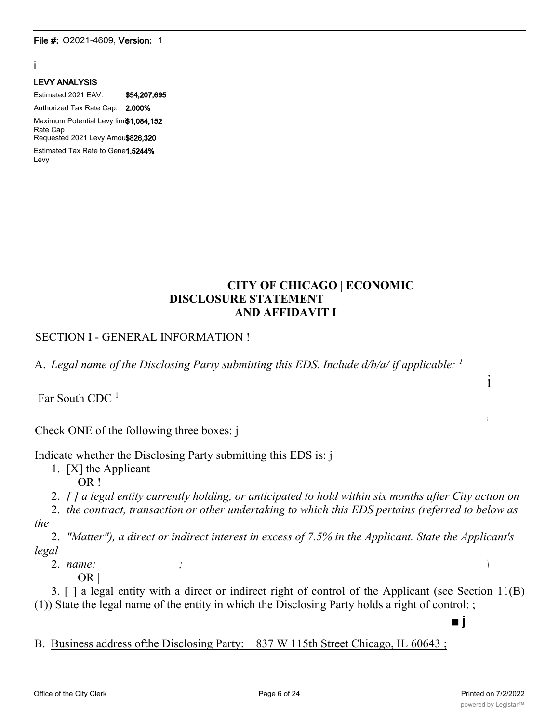## i

#### LEVY ANALYSIS

Estimated 2021 EAV: \$54,207,695 Authorized Tax Rate Cap: 2.000% Maximum Potential Levy limi\$1,084,152 Rate Cap Requested 2021 Levy Amou\$826,320 Estimated Tax Rate to Gene1.5244%

Levy

## **CITY OF CHICAGO | ECONOMIC DISCLOSURE STATEMENT AND AFFIDAVIT I**

## SECTION I - GENERAL INFORMATION !

A. *Legal name of the Disclosing Party submitting this EDS. Include d/b/a/ if applicable: <sup>1</sup>*

Far South CDC<sup>1</sup>

Check ONE of the following three boxes: j

Indicate whether the Disclosing Party submitting this EDS is: j

- 1. [X] the Applicant OR !
- 2. *[ ] a legal entity currently holding, or anticipated to hold within six months after City action on*

2. *the contract, transaction or other undertaking to which this EDS pertains (referred to below as the*

2. *"Matter"), a direct or indirect interest in excess of 7.5% in the Applicant. State the Applicant's legal*

2. *name: ; \*

OR |

3. [ ] a legal entity with a direct or indirect right of control of the Applicant (see Section 11(B) (1)) State the legal name of the entity in which the Disclosing Party holds a right of control: ;

B. Business address ofthe Disclosing Party: 837 W 115th Street Chicago, IL 60643 ;

■ j

i

i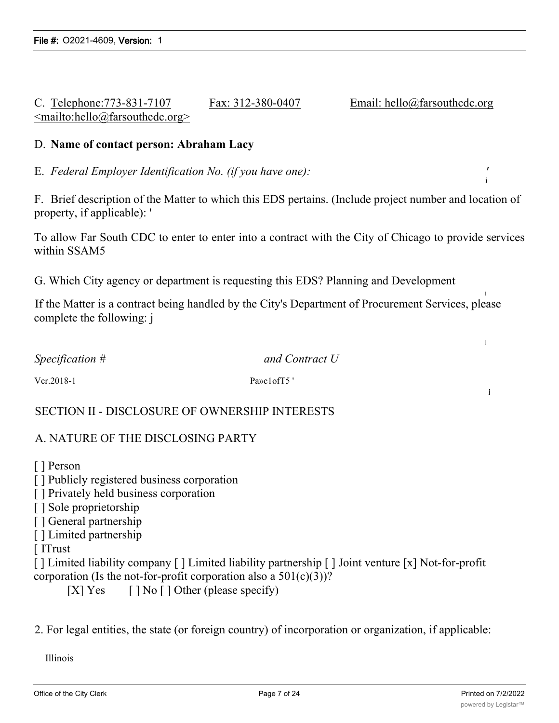## C. Telephone:773-831-7107 Fax: 312-380-0407 Email: hello@farsouthcdc.org <mailto:hello@farsouthcdc.org>

### D. **Name of contact person: Abraham Lacy**

E. *Federal Employer Identification No. (if you have one): '*

F. Brief description of the Matter to which this EDS pertains. (Include project number and location of property, if applicable): '

To allow Far South CDC to enter to enter into a contract with the City of Chicago to provide services within SSAM5

G. Which City agency or department is requesting this EDS? Planning and Development

If the Matter is a contract being handled by the City's Department of Procurement Services, please complete the following: j

*Specification # and Contract U*

Vcr.2018-1 Pa»c1ofT5 '

SECTION II - DISCLOSURE OF OWNERSHIP INTERESTS

## A. NATURE OF THE DISCLOSING PARTY

[ ] Person

[ ] Publicly registered business corporation

[ ] Privately held business corporation

[ ] Sole proprietorship

[ ] General partnership

[ ] Limited partnership

[ ITrust

[ ] Limited liability company [ ] Limited liability partnership [ ] Joint venture [x] Not-for-profit corporation (Is the not-for-profit corporation also a  $501(c)(3)$ )?

[X] Yes  $[ ]$  No  $[ ]$  Other (please specify)

2. For legal entities, the state (or foreign country) of incorporation or organization, if applicable:

Illinois

i

l

 $\overline{1}$ 

j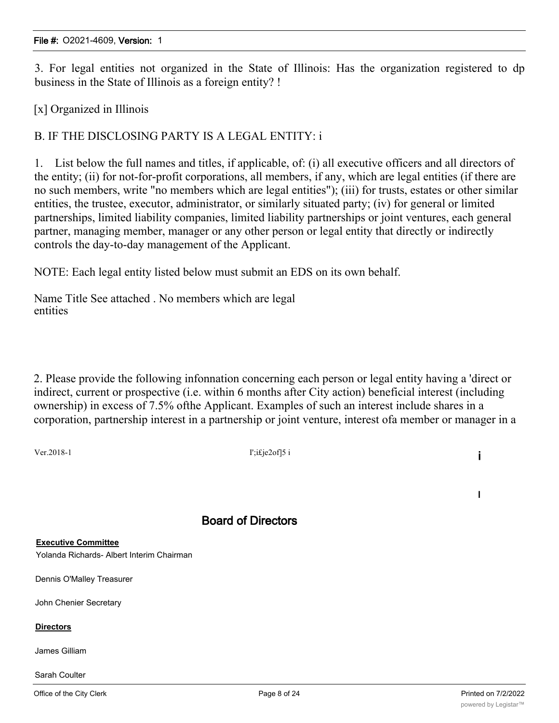3. For legal entities not organized in the State of Illinois: Has the organization registered to dp business in the State of Illinois as a foreign entity? !

[x] Organized in Illinois

## B. IF THE DISCLOSING PARTY IS A LEGAL ENTITY: i

1. List below the full names and titles, if applicable, of: (i) all executive officers and all directors of the entity; (ii) for not-for-profit corporations, all members, if any, which are legal entities (if there are no such members, write "no members which are legal entities"); (iii) for trusts, estates or other similar entities, the trustee, executor, administrator, or similarly situated party; (iv) for general or limited partnerships, limited liability companies, limited liability partnerships or joint ventures, each general partner, managing member, manager or any other person or legal entity that directly or indirectly controls the day-to-day management of the Applicant.

NOTE: Each legal entity listed below must submit an EDS on its own behalf.

Name Title See attached . No members which are legal entities

2. Please provide the following infonnation concerning each person or legal entity having a 'direct or indirect, current or prospective (i.e. within 6 months after City action) beneficial interest (including ownership) in excess of 7.5% ofthe Applicant. Examples of such an interest include shares in a corporation, partnership interest in a partnership or joint venture, interest ofa member or manager in a

 $V = 2018-1$  is  $I'$ ;i£je2of]5 i

I

## Board of Directors

**Executive Committee**

Yolanda Richards- Albert Interim Chairman

Dennis O'Malley Treasurer

John Chenier Secretary

### **Directors**

James Gilliam

Sarah Coulter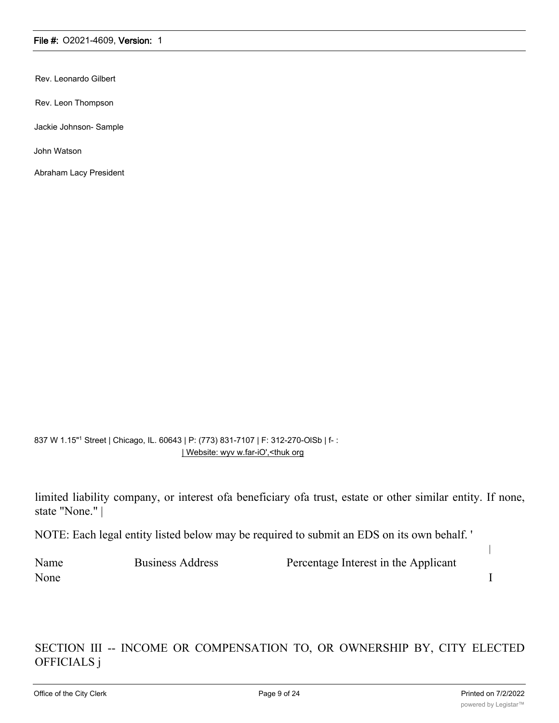Rev. Leonardo Gilbert

Rev. Leon Thompson

Jackie Johnson- Sample

John Watson

Abraham Lacy President

### 837 W 1.15"1 Street | Chicago, IL. 60643 | P: (773) 831-7107 | F: 312-270-OlSb | f- : | Website: wyv w.far-iO',<thuk org

limited liability company, or interest ofa beneficiary ofa trust, estate or other similar entity. If none, state "None." |

NOTE: Each legal entity listed below may be required to submit an EDS on its own behalf. '

| Name | <b>Business Address</b> | Percentage Interest in the Applicant |  |
|------|-------------------------|--------------------------------------|--|
| None |                         |                                      |  |

## SECTION III -- INCOME OR COMPENSATION TO, OR OWNERSHIP BY, CITY ELECTED OFFICIALS j

|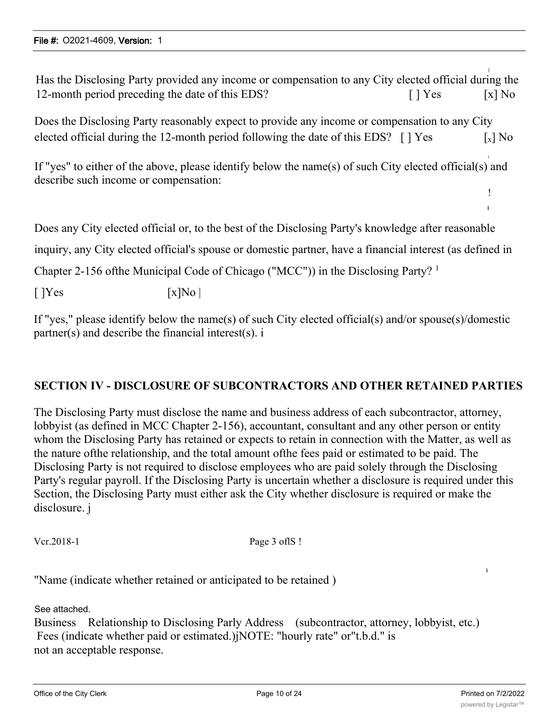Has the Disclosing Party provided any income or compensation to any City elected official during the 12-month period preceding the date of this EDS? [ ] Yes [x] No

Does the Disclosing Party reasonably expect to provide any income or compensation to any City elected official during the 12-month period following the date of this EDS?  $\lceil \cdot \rceil$  Yes  $\lceil x \rceil$  No

If "yes" to either of the above, please identify below the name(s) of such City elected official(s) and describe such income or compensation:

Does any City elected official or, to the best of the Disclosing Party's knowledge after reasonable

inquiry, any City elected official's spouse or domestic partner, have a financial interest (as defined in

Chapter 2-156 ofthe Municipal Code of Chicago ("MCC")) in the Disclosing Party? <sup>1</sup>

 $[$   $]$ Yes  $[x]$ No  $]$ 

If "yes," please identify below the name(s) of such City elected official(s) and/or spouse(s)/domestic partner(s) and describe the financial interest(s). i

## **SECTION IV - DISCLOSURE OF SUBCONTRACTORS AND OTHER RETAINED PARTIES**

The Disclosing Party must disclose the name and business address of each subcontractor, attorney, lobbyist (as defined in MCC Chapter 2-156), accountant, consultant and any other person or entity whom the Disclosing Party has retained or expects to retain in connection with the Matter, as well as the nature ofthe relationship, and the total amount ofthe fees paid or estimated to be paid. The Disclosing Party is not required to disclose employees who are paid solely through the Disclosing Party's regular payroll. If the Disclosing Party is uncertain whether a disclosure is required under this Section, the Disclosing Party must either ask the City whether disclosure is required or make the disclosure. j

Vcr.2018-1 Page 3 of IS !

"Name (indicate whether retained or anticipated to be retained )

See attached.

Business Relationship to Disclosing Parly Address (subcontractor, attorney, lobbyist, etc.) Fees (indicate whether paid or estimated.)jNOTE: "hourly rate" or"t.b.d." is not an acceptable response.

i

i

! i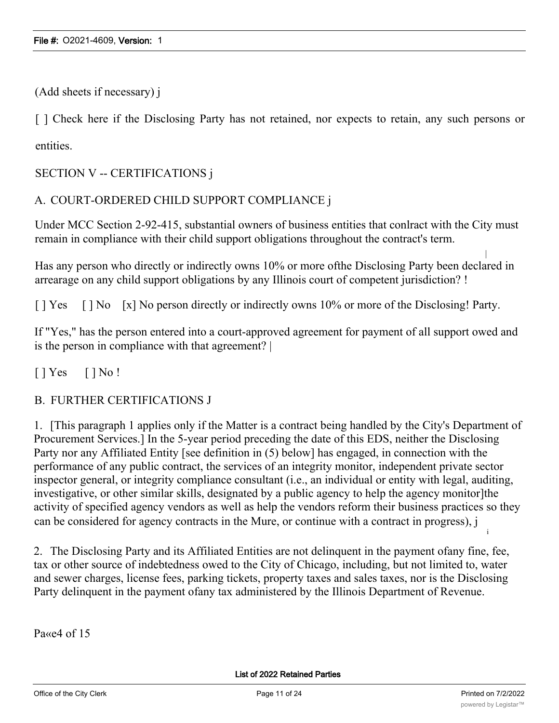(Add sheets if necessary) j

[ ] Check here if the Disclosing Party has not retained, nor expects to retain, any such persons or entities.

SECTION V -- CERTIFICATIONS j

## A. COURT-ORDERED CHILD SUPPORT COMPLIANCE j

Under MCC Section 2-92-415, substantial owners of business entities that conlract with the City must remain in compliance with their child support obligations throughout the contract's term.

Has any person who directly or indirectly owns 10% or more ofthe Disclosing Party been declared in arrearage on any child support obligations by any Illinois court of competent jurisdiction? !

[ ] Yes [ ] No [x] No person directly or indirectly owns 10% or more of the Disclosing! Party.

If "Yes," has the person entered into a court-approved agreement for payment of all support owed and is the person in compliance with that agreement? |

 $[$  | Yes  $[$  | No !

B. FURTHER CERTIFICATIONS J

1. [This paragraph 1 applies only if the Matter is a contract being handled by the City's Department of Procurement Services.] In the 5-year period preceding the date of this EDS, neither the Disclosing Party nor any Affiliated Entity [see definition in (5) below] has engaged, in connection with the performance of any public contract, the services of an integrity monitor, independent private sector inspector general, or integrity compliance consultant (i.e., an individual or entity with legal, auditing, investigative, or other similar skills, designated by a public agency to help the agency monitor]the activity of specified agency vendors as well as help the vendors reform their business practices so they can be considered for agency contracts in the Mure, or continue with a contract in progress), j

2. The Disclosing Party and its Affiliated Entities are not delinquent in the payment ofany fine, fee, tax or other source of indebtedness owed to the City of Chicago, including, but not limited to, water and sewer charges, license fees, parking tickets, property taxes and sales taxes, nor is the Disclosing Party delinquent in the payment ofany tax administered by the Illinois Department of Revenue.

Pa<sub>«e4</sub> of 15

i

|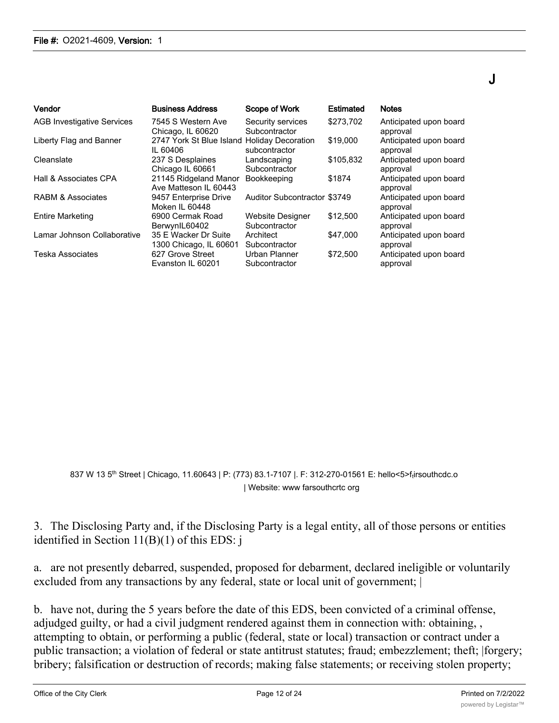| Vendor                            | <b>Business Address</b>                                 | Scope of Work                            | Estimated | <b>Notes</b>                       |
|-----------------------------------|---------------------------------------------------------|------------------------------------------|-----------|------------------------------------|
| <b>AGB Investigative Services</b> | 7545 S Western Ave<br>Chicago, IL 60620                 | Security services<br>Subcontractor       | \$273.702 | Anticipated upon board<br>approval |
| Liberty Flag and Banner           | 2747 York St Blue Island Holiday Decoration<br>IL 60406 | subcontractor                            | \$19,000  | Anticipated upon board<br>approval |
| Cleanslate                        | 237 S Desplaines<br>Chicago IL 60661                    | Landscaping<br>Subcontractor             | \$105,832 | Anticipated upon board<br>approval |
| Hall & Associates CPA             | 21145 Ridgeland Manor<br>Ave Matteson IL 60443          | <b>Bookkeeping</b>                       | \$1874    | Anticipated upon board<br>approval |
| <b>RABM &amp; Associates</b>      | 9457 Enterprise Drive<br>Moken II 60448                 | <b>Auditor Subcontractor \$3749</b>      |           | Anticipated upon board<br>approval |
| <b>Entire Marketing</b>           | 6900 Cermak Road<br>BerwynIL60402                       | <b>Website Designer</b><br>Subcontractor | \$12,500  | Anticipated upon board<br>approval |
| Lamar Johnson Collaborative       | 35 E Wacker Dr Suite<br>1300 Chicago, IL 60601          | Architect<br>Subcontractor               | \$47,000  | Anticipated upon board<br>approval |
| <b>Teska Associates</b>           | 627 Grove Street<br>Evanston IL 60201                   | Urban Planner<br>Subcontractor           | \$72,500  | Anticipated upon board<br>approval |

837 W 13 5th Street | Chicago, 11.60643 | P: (773) 83.1-7107 |. F: 312-270-01561 E: hello<5>ftirsouthcdc.o | Website: www farsouthcrtc org

## 3. The Disclosing Party and, if the Disclosing Party is a legal entity, all of those persons or entities identified in Section 11(B)(1) of this EDS: j

a. are not presently debarred, suspended, proposed for debarment, declared ineligible or voluntarily excluded from any transactions by any federal, state or local unit of government; |

b. have not, during the 5 years before the date of this EDS, been convicted of a criminal offense, adjudged guilty, or had a civil judgment rendered against them in connection with: obtaining, , attempting to obtain, or performing a public (federal, state or local) transaction or contract under a public transaction; a violation of federal or state antitrust statutes; fraud; embezzlement; theft; |forgery; bribery; falsification or destruction of records; making false statements; or receiving stolen property;

J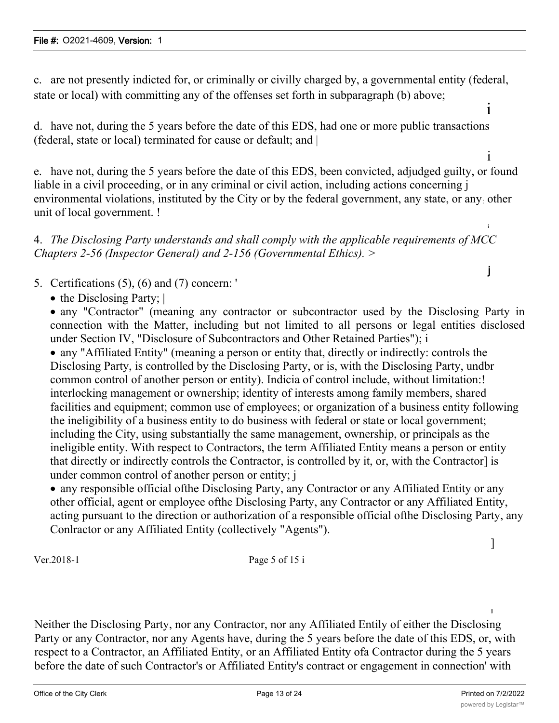c. are not presently indicted for, or criminally or civilly charged by, a governmental entity (federal, state or local) with committing any of the offenses set forth in subparagraph (b) above;

d. have not, during the 5 years before the date of this EDS, had one or more public transactions (federal, state or local) terminated for cause or default; and |

e. have not, during the 5 years before the date of this EDS, been convicted, adjudged guilty, or found liable in a civil proceeding, or in any criminal or civil action, including actions concerning j environmental violations, instituted by the City or by the federal government, any state, or any: other unit of local government. !

4. *The Disclosing Party understands and shall comply with the applicable requirements of MCC Chapters 2-56 (Inspector General) and 2-156 (Governmental Ethics). >*

5. Certifications (5), (6) and (7) concern: '

• the Disclosing Party; |

· any "Contractor" (meaning any contractor or subcontractor used by the Disclosing Party in connection with the Matter, including but not limited to all persons or legal entities disclosed under Section IV, "Disclosure of Subcontractors and Other Retained Parties"); i

· any "Affiliated Entity" (meaning a person or entity that, directly or indirectly: controls the Disclosing Party, is controlled by the Disclosing Party, or is, with the Disclosing Party, undbr common control of another person or entity). Indicia of control include, without limitation:! interlocking management or ownership; identity of interests among family members, shared facilities and equipment; common use of employees; or organization of a business entity following the ineligibility of a business entity to do business with federal or state or local government; including the City, using substantially the same management, ownership, or principals as the ineligible entity. With respect to Contractors, the term Affiliated Entity means a person or entity that directly or indirectly controls the Contractor, is controlled by it, or, with the Contractor] is under common control of another person or entity; j

· any responsible official ofthe Disclosing Party, any Contractor or any Affiliated Entity or any other official, agent or employee ofthe Disclosing Party, any Contractor or any Affiliated Entity, acting pursuant to the direction or authorization of a responsible official ofthe Disclosing Party, any Conlractor or any Affiliated Entity (collectively "Agents").

Ver.2018-1 Page 5 of 15 i

Neither the Disclosing Party, nor any Contractor, nor any Affiliated Entily of either the Disclosing Party or any Contractor, nor any Agents have, during the 5 years before the date of this EDS, or, with respect to a Contractor, an Affiliated Entity, or an Affiliated Entity ofa Contractor during the 5 years before the date of such Contractor's or Affiliated Entity's contract or engagement in connection' with

]

i

i

i

i

j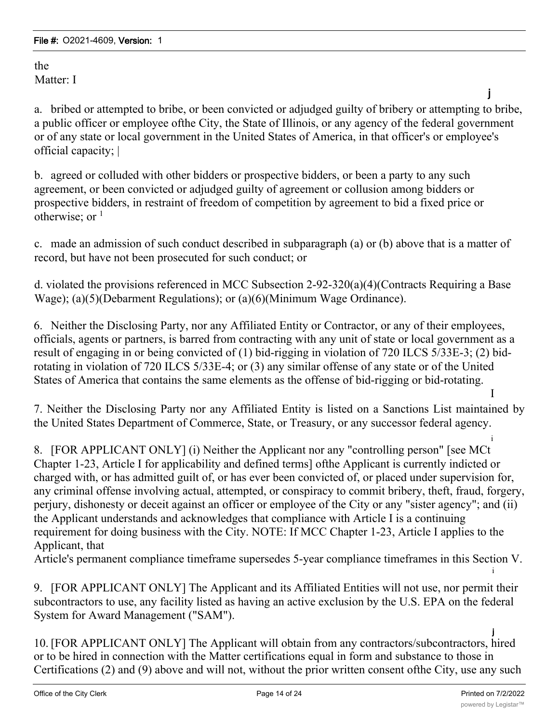the Matter: I

a. bribed or attempted to bribe, or been convicted or adjudged guilty of bribery or attempting to bribe, a public officer or employee ofthe City, the State of Illinois, or any agency of the federal government or of any state or local government in the United States of America, in that officer's or employee's official capacity; |

b. agreed or colluded with other bidders or prospective bidders, or been a party to any such agreement, or been convicted or adjudged guilty of agreement or collusion among bidders or prospective bidders, in restraint of freedom of competition by agreement to bid a fixed price or otherwise; or  $<sup>1</sup>$ </sup>

c. made an admission of such conduct described in subparagraph (a) or (b) above that is a matter of record, but have not been prosecuted for such conduct; or

d. violated the provisions referenced in MCC Subsection 2-92-320(a)(4)(Contracts Requiring a Base Wage); (a)(5)(Debarment Regulations); or (a)(6)(Minimum Wage Ordinance).

6. Neither the Disclosing Party, nor any Affiliated Entity or Contractor, or any of their employees, officials, agents or partners, is barred from contracting with any unit of state or local government as a result of engaging in or being convicted of (1) bid-rigging in violation of 720 ILCS 5/33E-3; (2) bidrotating in violation of 720 ILCS 5/33E-4; or (3) any similar offense of any state or of the United States of America that contains the same elements as the offense of bid-rigging or bid-rotating.

7. Neither the Disclosing Party nor any Affiliated Entity is listed on a Sanctions List maintained by the United States Department of Commerce, State, or Treasury, or any successor federal agency.

i 8. [FOR APPLICANT ONLY] (i) Neither the Applicant nor any "controlling person" [see MCt Chapter 1-23, Article I for applicability and defined terms] ofthe Applicant is currently indicted or charged with, or has admitted guilt of, or has ever been convicted of, or placed under supervision for, any criminal offense involving actual, attempted, or conspiracy to commit bribery, theft, fraud, forgery, perjury, dishonesty or deceit against an officer or employee of the City or any "sister agency"; and (ii) the Applicant understands and acknowledges that compliance with Article I is a continuing requirement for doing business with the City. NOTE: If MCC Chapter 1-23, Article I applies to the Applicant, that

Article's permanent compliance timeframe supersedes 5-year compliance timeframes in this Section V. i

9. [FOR APPLICANT ONLY] The Applicant and its Affiliated Entities will not use, nor permit their subcontractors to use, any facility listed as having an active exclusion by the U.S. EPA on the federal System for Award Management ("SAM").

j 10. [FOR APPLICANT ONLY] The Applicant will obtain from any contractors/subcontractors, hired or to be hired in connection with the Matter certifications equal in form and substance to those in Certifications (2) and (9) above and will not, without the prior written consent ofthe City, use any such

j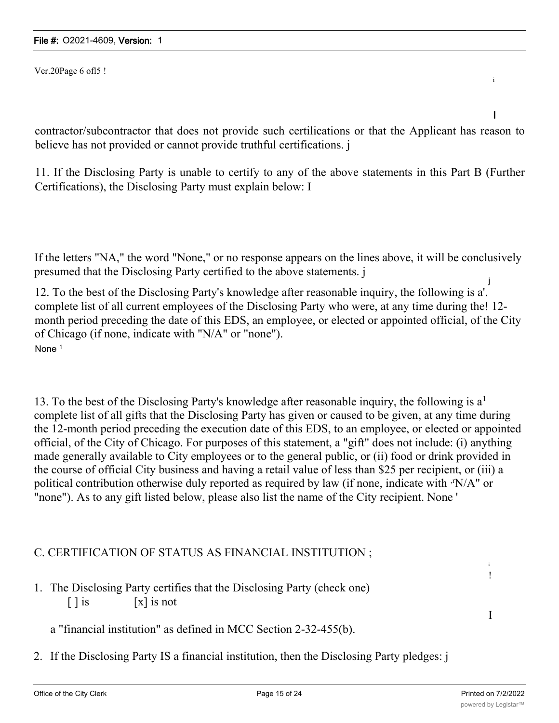Ver.20Page 6 ofl5 !

contractor/subcontractor that does not provide such certilications or that the Applicant has reason to believe has not provided or cannot provide truthful certifications. j

11. If the Disclosing Party is unable to certify to any of the above statements in this Part B (Further Certifications), the Disclosing Party must explain below: I

If the letters "NA," the word "None," or no response appears on the lines above, it will be conclusively presumed that the Disclosing Party certified to the above statements. j

12. To the best of the Disclosing Party's knowledge after reasonable inquiry, the following is a'. complete list of all current employees of the Disclosing Party who were, at any time during the! 12 month period preceding the date of this EDS, an employee, or elected or appointed official, of the City of Chicago (if none, indicate with "N/A" or "none"). None<sup>1</sup>

13. To the best of the Disclosing Party's knowledge after reasonable inquiry, the following is  $a<sup>1</sup>$ complete list of all gifts that the Disclosing Party has given or caused to be given, at any time during the 12-month period preceding the execution date of this EDS, to an employee, or elected or appointed official, of the City of Chicago. For purposes of this statement, a "gift" does not include: (i) anything made generally available to City employees or to the general public, or (ii) food or drink provided in the course of official City business and having a retail value of less than \$25 per recipient, or (iii) a political contribution otherwise duly reported as required by law (if none, indicate with  $\cdot$ N/A" or "none"). As to any gift listed below, please also list the name of the City recipient. None '

## C. CERTIFICATION OF STATUS AS FINANCIAL INSTITUTION ;

1. The Disclosing Party certifies that the Disclosing Party (check one)  $\lceil \cdot \rceil$  is  $\lceil x \rceil$  is not

a "financial institution" as defined in MCC Section 2-32-455(b).

2. If the Disclosing Party IS a financial institution, then the Disclosing Party pledges: j

i !

I

i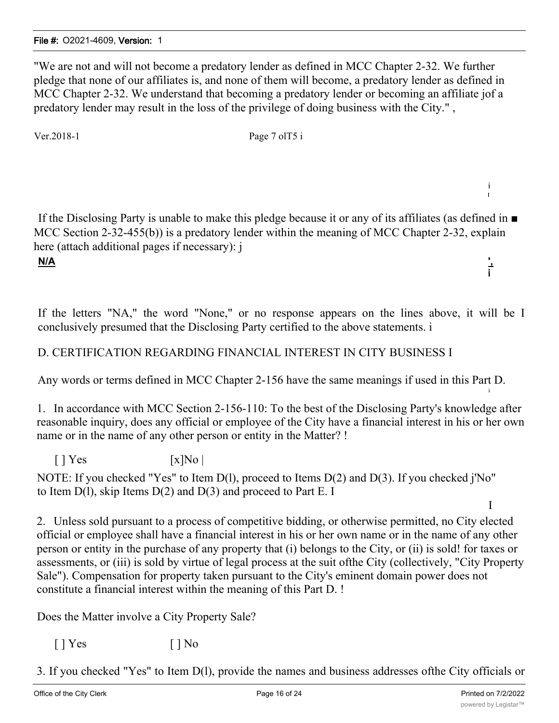"We are not and will not become a predatory lender as defined in MCC Chapter 2-32. We further pledge that none of our affiliates is, and none of them will become, a predatory lender as defined in MCC Chapter 2-32. We understand that becoming a predatory lender or becoming an affiliate jof a predatory lender may result in the loss of the privilege of doing business with the City." ,

Ver.2018-1 Page 7 ol T5 i

If the Disclosing Party is unable to make this pledge because it or any of its affiliates (as defined in ■ MCC Section 2-32-455(b)) is a predatory lender within the meaning of MCC Chapter 2-32, explain here (attach additional pages if necessary): j

**N/A ',**

If the letters "NA," the word "None," or no response appears on the lines above, it will be I conclusively presumed that the Disclosing Party certified to the above statements. i

## D. CERTIFICATION REGARDING FINANCIAL INTEREST IN CITY BUSINESS I

Any words or terms defined in MCC Chapter 2-156 have the same meanings if used in this Part D.

1. In accordance with MCC Section 2-156-110: To the best of the Disclosing Party's knowledge after reasonable inquiry, does any official or employee of the City have a financial interest in his or her own name or in the name of any other person or entity in the Matter? !

 $\lceil$  | Yes  $\lceil$  | X|No |

NOTE: If you checked "Yes" to Item D(1), proceed to Items D(2) and D(3). If you checked j'No" to Item  $D(1)$ , skip Items  $D(2)$  and  $D(3)$  and proceed to Part E. I

2. Unless sold pursuant to a process of competitive bidding, or otherwise permitted, no City elected official or employee shall have a financial interest in his or her own name or in the name of any other person or entity in the purchase of any property that (i) belongs to the City, or (ii) is sold! for taxes or assessments, or (iii) is sold by virtue of legal process at the suit ofthe City (collectively, "City Property Sale"). Compensation for property taken pursuant to the City's eminent domain power does not constitute a financial interest within the meaning of this Part D. !

Does the Matter involve a City Property Sale?

 $[$  | Yes  $[$  | No

3. If you checked "Yes" to Item D(l), provide the names and business addresses ofthe City officials or

i I

i

i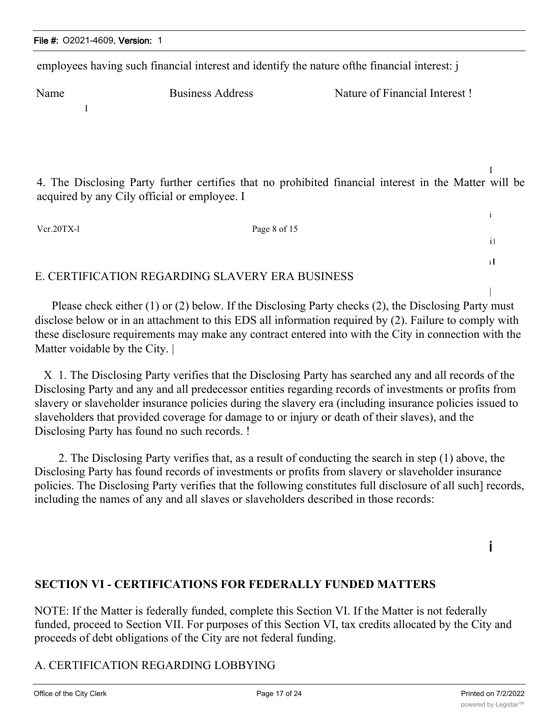employees having such financial interest and identify the nature ofthe financial interest: j

Name Business Address Nature of Financial Interest !

I

I 4. The Disclosing Party further certifies that no prohibited financial interest in the Matter will be acquired by any Cily official or employee. I

Vcr.20TX-l Page 8 of 15

## E. CERTIFICATION REGARDING SLAVERY ERA BUSINESS

Please check either (1) or (2) below. If the Disclosing Party checks (2), the Disclosing Party must disclose below or in an attachment to this EDS all information required by (2). Failure to comply with these disclosure requirements may make any contract entered into with the City in connection with the Matter voidable by the City.

X 1. The Disclosing Party verifies that the Disclosing Party has searched any and all records of the Disclosing Party and any and all predecessor entities regarding records of investments or profits from slavery or slaveholder insurance policies during the slavery era (including insurance policies issued to slaveholders that provided coverage for damage to or injury or death of their slaves), and the Disclosing Party has found no such records. !

2. The Disclosing Party verifies that, as a result of conducting the search in step (1) above, the Disclosing Party has found records of investments or profits from slavery or slaveholder insurance policies. The Disclosing Party verifies that the following constitutes full disclosure of all such] records, including the names of any and all slaves or slaveholders described in those records:

i

i

il

i I

|

## **SECTION VI - CERTIFICATIONS FOR FEDERALLY FUNDED MATTERS**

NOTE: If the Matter is federally funded, complete this Section VI. If the Matter is not federally funded, proceed to Section VII. For purposes of this Section VI, tax credits allocated by the City and proceeds of debt obligations of the City are not federal funding.

## A. CERTIFICATION REGARDING LOBBYING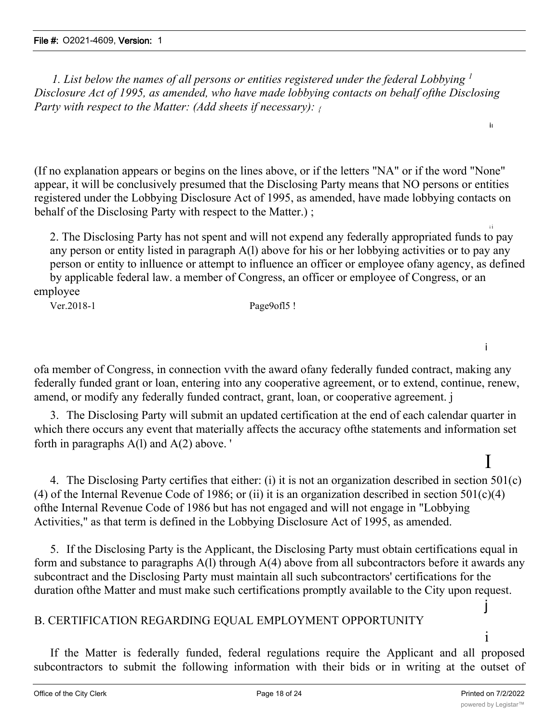*1. List below the names of all persons or entities registered under the federal Lobbying <sup>1</sup> Disclosure Act of 1995, as amended, who have made lobbying contacts on behalf ofthe Disclosing Party with respect to the Matter: (Add sheets if necessary): {*

(If no explanation appears or begins on the lines above, or if the letters "NA" or if the word "None" appear, it will be conclusively presumed that the Disclosing Party means that NO persons or entities registered under the Lobbying Disclosure Act of 1995, as amended, have made lobbying contacts on behalf of the Disclosing Party with respect to the Matter.) ;

i i 2. The Disclosing Party has not spent and will not expend any federally appropriated funds to pay any person or entity listed in paragraph A(l) above for his or her lobbying activities or to pay any person or entity to inlluence or attempt to influence an officer or employee ofany agency, as defined by applicable federal law. a member of Congress, an officer or employee of Congress, or an employee

Ver.2018-1 Page9ofl5 !

i

I

ii

ofa member of Congress, in connection vvith the award ofany federally funded contract, making any federally funded grant or loan, entering into any cooperative agreement, or to extend, continue, renew, amend, or modify any federally funded contract, grant, loan, or cooperative agreement. j

3. The Disclosing Party will submit an updated certification at the end of each calendar quarter in which there occurs any event that materially affects the accuracy ofthe statements and information set forth in paragraphs A(l) and A(2) above. '

4. The Disclosing Party certifies that either: (i) it is not an organization described in section 501(c) (4) of the Internal Revenue Code of 1986; or (ii) it is an organization described in section  $501(c)(4)$ ofthe Internal Revenue Code of 1986 but has not engaged and will not engage in "Lobbying Activities," as that term is defined in the Lobbying Disclosure Act of 1995, as amended.

5. If the Disclosing Party is the Applicant, the Disclosing Party must obtain certifications equal in form and substance to paragraphs A(l) through A(4) above from all subcontractors before it awards any subcontract and the Disclosing Party must maintain all such subcontractors' certifications for the duration ofthe Matter and must make such certifications promptly available to the City upon request.

## B. CERTIFICATION REGARDING EQUAL EMPLOYMENT OPPORTUNITY

If the Matter is federally funded, federal regulations require the Applicant and all proposed subcontractors to submit the following information with their bids or in writing at the outset of

j

i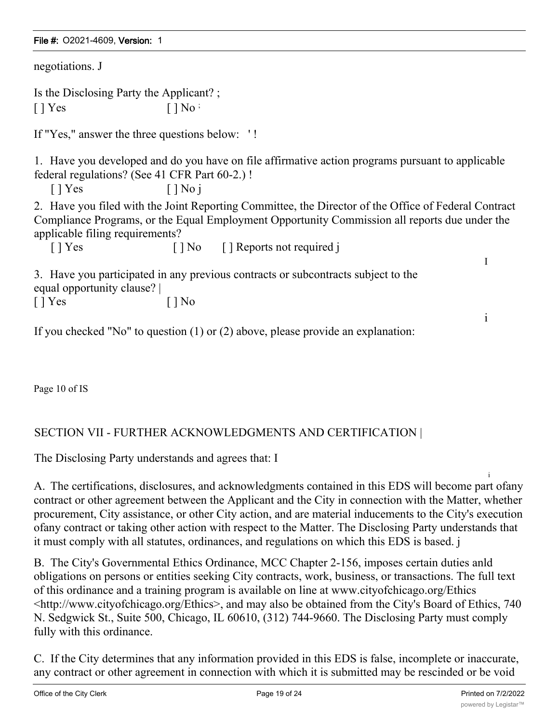| negotiations. J                                                                                                                                                                                                                          |                                  |                                                                                                  |              |  |  |
|------------------------------------------------------------------------------------------------------------------------------------------------------------------------------------------------------------------------------------------|----------------------------------|--------------------------------------------------------------------------------------------------|--------------|--|--|
| Is the Disclosing Party the Applicant?;                                                                                                                                                                                                  |                                  |                                                                                                  |              |  |  |
| $\lceil \cdot \rceil$ Yes                                                                                                                                                                                                                | $\lceil \cdot \rceil$ No $\cdot$ |                                                                                                  |              |  |  |
| If "Yes," answer the three questions below: '!                                                                                                                                                                                           |                                  |                                                                                                  |              |  |  |
| federal regulations? (See 41 CFR Part 60-2.)!<br>$\lceil \cdot \rceil$ Yes<br>$\lceil \, \rceil$ No i                                                                                                                                    |                                  | 1. Have you developed and do you have on file affirmative action programs pursuant to applicable |              |  |  |
| 2. Have you filed with the Joint Reporting Committee, the Director of the Office of Federal Contract<br>Compliance Programs, or the Equal Employment Opportunity Commission all reports due under the<br>applicable filing requirements? |                                  |                                                                                                  |              |  |  |
| $[$   Yes                                                                                                                                                                                                                                |                                  | [] No [] Reports not required j                                                                  |              |  |  |
| I<br>3. Have you participated in any previous contracts or subcontracts subject to the<br>equal opportunity clause?                                                                                                                      |                                  |                                                                                                  |              |  |  |
| $\lceil \cdot \rceil$ Yes                                                                                                                                                                                                                | [ ] No                           |                                                                                                  |              |  |  |
|                                                                                                                                                                                                                                          |                                  | If you checked "No" to question $(1)$ or $(2)$ above, please provide an explanation:             | $\mathbf{i}$ |  |  |

Page 10 of IS

## SECTION VII - FURTHER ACKNOWLEDGMENTS AND CERTIFICATION |

The Disclosing Party understands and agrees that: I

i A. The certifications, disclosures, and acknowledgments contained in this EDS will become part ofany contract or other agreement between the Applicant and the City in connection with the Matter, whether procurement, City assistance, or other City action, and are material inducements to the City's execution ofany contract or taking other action with respect to the Matter. The Disclosing Party understands that it must comply with all statutes, ordinances, and regulations on which this EDS is based. j

B. The City's Governmental Ethics Ordinance, MCC Chapter 2-156, imposes certain duties anld obligations on persons or entities seeking City contracts, work, business, or transactions. The full text of this ordinance and a training program is available on line at www.cityofchicago.org/Ethics <http://www.cityofchicago.org/Ethics>, and may also be obtained from the City's Board of Ethics, 740 N. Sedgwick St., Suite 500, Chicago, IL 60610, (312) 744-9660. The Disclosing Party must comply fully with this ordinance.

C. If the City determines that any information provided in this EDS is false, incomplete or inaccurate, any contract or other agreement in connection with which it is submitted may be rescinded or be void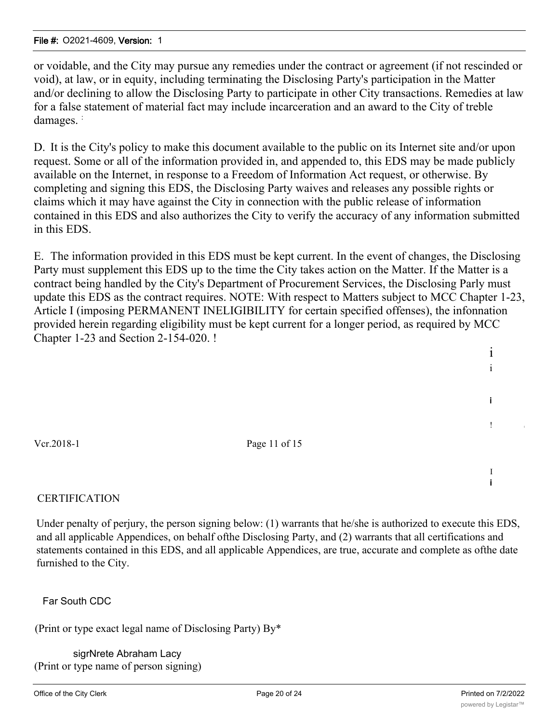or voidable, and the City may pursue any remedies under the contract or agreement (if not rescinded or void), at law, or in equity, including terminating the Disclosing Party's participation in the Matter and/or declining to allow the Disclosing Party to participate in other City transactions. Remedies at law for a false statement of material fact may include incarceration and an award to the City of treble damages.

D. It is the City's policy to make this document available to the public on its Internet site and/or upon request. Some or all of the information provided in, and appended to, this EDS may be made publicly available on the Internet, in response to a Freedom of Information Act request, or otherwise. By completing and signing this EDS, the Disclosing Party waives and releases any possible rights or claims which it may have against the City in connection with the public release of information contained in this EDS and also authorizes the City to verify the accuracy of any information submitted in this EDS.

E. The information provided in this EDS must be kept current. In the event of changes, the Disclosing Party must supplement this EDS up to the time the City takes action on the Matter. If the Matter is a contract being handled by the City's Department of Procurement Services, the Disclosing Parly must update this EDS as the contract requires. NOTE: With respect to Matters subject to MCC Chapter 1-23, Article I (imposing PERMANENT INELIGIBILITY for certain specified offenses), the infonnation provided herein regarding eligibility must be kept current for a longer period, as required by MCC Chapter 1-23 and Section 2-154-020. !

Vcr.2018-1 Page 11 of 15

## **CERTIFICATION**

Under penalty of perjury, the person signing below: (1) warrants that he/she is authorized to execute this EDS, and all applicable Appendices, on behalf ofthe Disclosing Party, and (2) warrants that all certifications and statements contained in this EDS, and all applicable Appendices, are true, accurate and complete as ofthe date furnished to the City.

Far South CDC

(Print or type exact legal name of Disclosing Party) By\*

sigrNrete Abraham Lacy (Print or type name of person signing) i i

i

I i

! <sup>i</sup>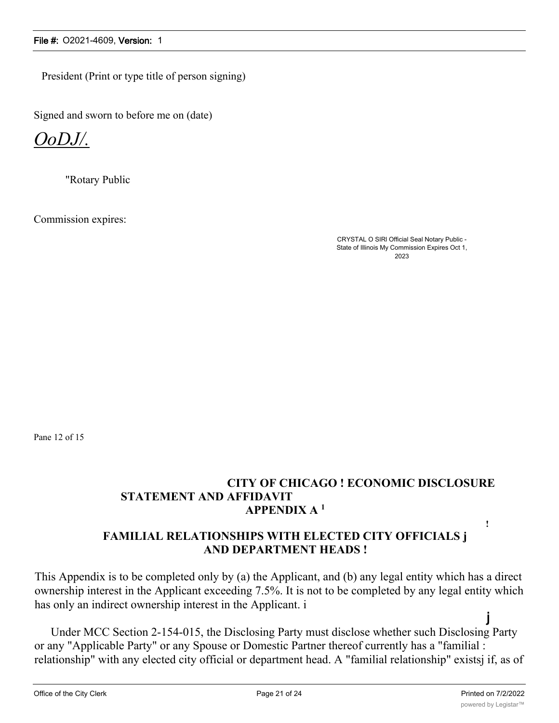President (Print or type title of person signing)

Signed and sworn to before me on (date)

*OoDJ/.*

"Rotary Public

Commission expires:

CRYSTAL O SIRl Official Seal Notary Public - State of Illinois My Commission Expires Oct 1, 2023

Pane 12 of 15

## **CITY OF CHICAGO ! ECONOMIC DISCLOSURE STATEMENT AND AFFIDAVIT APPENDIX A <sup>1</sup>**

## **FAMILIAL RELATIONSHIPS WITH ELECTED CITY OFFICIALS j AND DEPARTMENT HEADS !**

This Appendix is to be completed only by (a) the Applicant, and (b) any legal entity which has a direct ownership interest in the Applicant exceeding 7.5%. It is not to be completed by any legal entity which has only an indirect ownership interest in the Applicant. i j

Under MCC Section 2-154-015, the Disclosing Party must disclose whether such Disclosing Party or any "Applicable Party" or any Spouse or Domestic Partner thereof currently has a "familial : relationship" with any elected city official or department head. A "familial relationship" existsj if, as of

**!**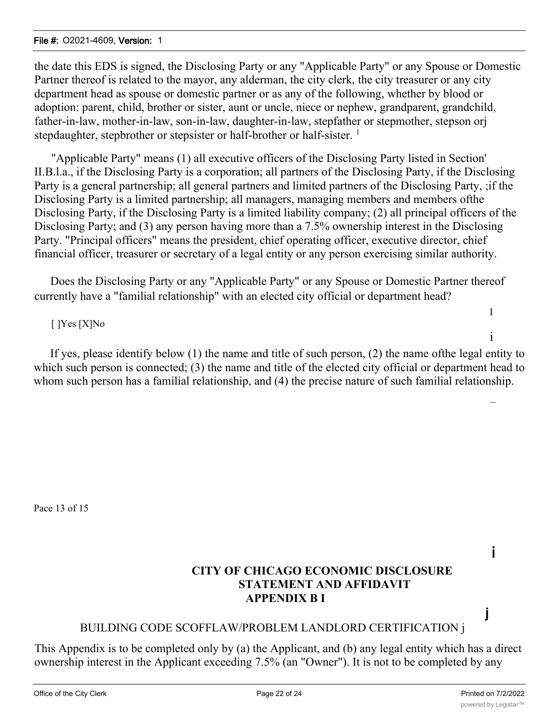the date this EDS is signed, the Disclosing Party or any "Applicable Party" or any Spouse or Domestic Partner thereof is related to the mayor, any alderman, the city clerk, the city treasurer or any city department head as spouse or domestic partner or as any of the following, whether by blood or adoption: parent, child, brother or sister, aunt or uncle, niece or nephew, grandparent, grandchild, father-in-law, mother-in-law, son-in-law, daughter-in-law, stepfather or stepmother, stepson orj stepdaughter, stepbrother or stepsister or half-brother or half-sister. <sup>1</sup>

"Applicable Party" means (1) all executive officers of the Disclosing Party listed in Section' II.B.l.a., if the Disclosing Party is a corporation; all partners of the Disclosing Party, if the Disclosing Party is a general partnership; all general partners and limited partners of the Disclosing Party, ;if the Disclosing Party is a limited partnership; all managers, managing members and members ofthe Disclosing Party, if the Disclosing Party is a limited liability company; (2) all principal officers of the Disclosing Party; and (3) any person having more than a 7.5% ownership interest in the Disclosing Party. "Principal officers" means the president, chief operating officer, executive director, chief financial officer, treasurer or secretary of a legal entity or any person exercising similar authority.

Does the Disclosing Party or any "Applicable Party" or any Spouse or Domestic Partner thereof currently have a "familial relationship" with an elected city official or department head?

## [ ]Yes [X]No

If yes, please identify below (1) the name and title of such person, (2) the name ofthe legal entity to which such person is connected; (3) the name and title of the elected city official or department head to whom such person has a familial relationship, and (4) the precise nature of such familial relationship.

Pace 13 of 15

## **CITY OF CHICAGO ECONOMIC DISCLOSURE STATEMENT AND AFFIDAVIT APPENDIX B I**

## BUILDING CODE SCOFFLAW/PROBLEM LANDLORD CERTIFICATION j

This Appendix is to be completed only by (a) the Applicant, and (b) any legal entity which has a direct ownership interest in the Applicant exceeding 7.5% (an "Owner"). It is not to be completed by any

i

j

I

i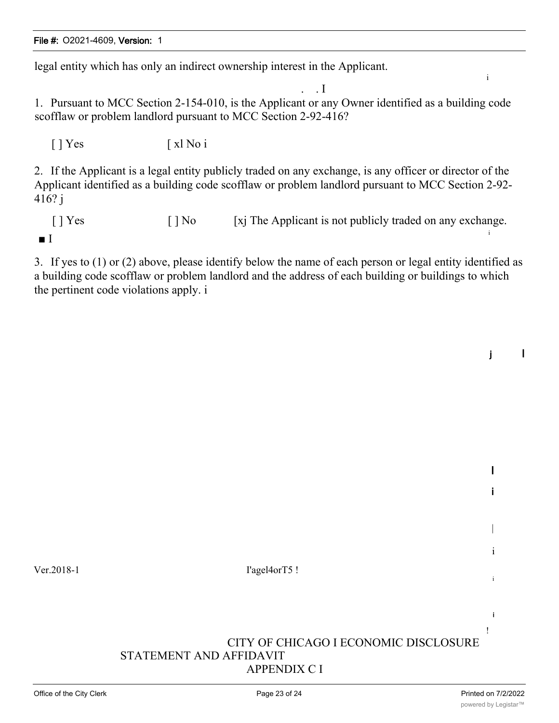legal entity which has only an indirect ownership interest in the Applicant.

. . I 1. Pursuant to MCC Section 2-154-010, is the Applicant or any Owner identified as a building code scofflaw or problem landlord pursuant to MCC Section 2-92-416?

[ ] Yes [ xl No i

2. If the Applicant is a legal entity publicly traded on any exchange, is any officer or director of the Applicant identified as a building code scofflaw or problem landlord pursuant to MCC Section 2-92- 416? j

[ ] Yes [ ] No [xj The Applicant is not publicly traded on any exchange. i ■ I

3. If yes to (1) or (2) above, please identify below the name of each person or legal entity identified as a building code scofflaw or problem landlord and the address of each building or buildings to which the pertinent code violations apply. i

j I

I

i

|

i

i

i !

i

Ver.2018-1 I'agel4orT5 !

CITY OF CHICAGO I ECONOMIC DISCLOSURE STATEMENT AND AFFIDAVIT APPENDIX C I